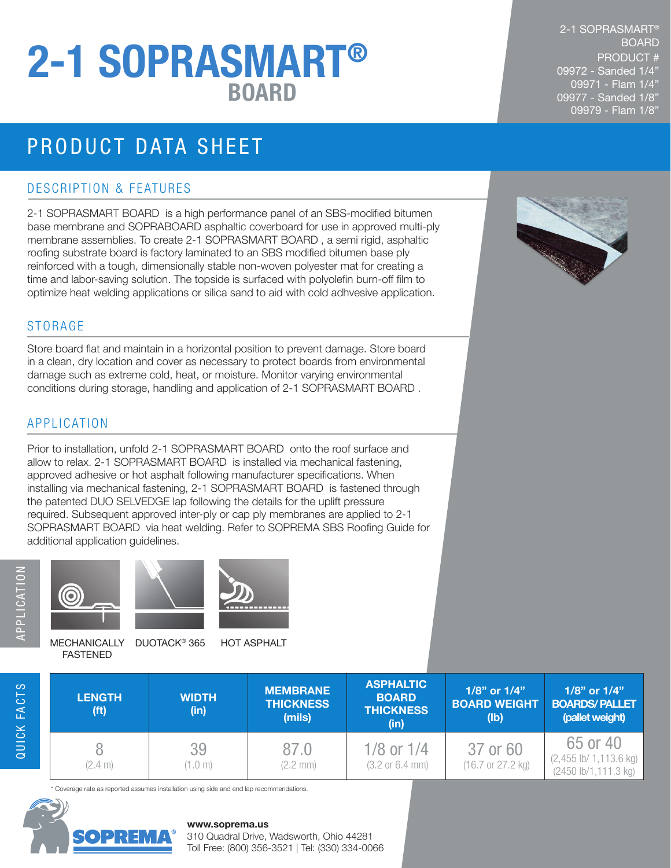# BOARD 2-1 SOPRASMART®

## PRODUCT DATA SHEET

#### DESCRIPTION & FEATURES

2-1 SOPRASMART BOARD is a high performance panel of an SBS-modified bitumen base membrane and SOPRABOARD asphaltic coverboard for use in approved multi-ply membrane assemblies. To create 2-1 SOPRASMART BOARD , a semi rigid, asphaltic roofing substrate board is factory laminated to an SBS modified bitumen base ply reinforced with a tough, dimensionally stable non-woven polyester mat for creating a time and labor-saving solution. The topside is surfaced with polyolefin burn-off film to optimize heat welding applications or silica sand to aid with cold adhvesive application.

#### STORAGE

Store board flat and maintain in a horizontal position to prevent damage. Store board in a clean, dry location and cover as necessary to protect boards from environmental damage such as extreme cold, heat, or moisture. Monitor varying environmental conditions during storage, handling and application of 2-1 SOPRASMART BOARD .

#### APPLICATION

Prior to installation, unfold 2-1 SOPRASMART BOARD onto the roof surface and allow to relax. 2-1 SOPRASMART BOARD is installed via mechanical fastening, approved adhesive or hot asphalt following manufacturer specifications. When installing via mechanical fastening, 2-1 SOPRASMART BOARD is fastened through the patented DUO SELVEDGE lap following the details for the uplift pressure required. Subsequent approved inter-ply or cap ply membranes are applied to 2-1 SOPRASMART BOARD via heat welding. Refer to SOPREMA SBS Roofing Guide for additional application guidelines.



QUICK FACTS





FASTENED

MECHANICALLY DUOTACK® 365 HOT ASPHALT

| <b>LENGTH</b><br>(f <sup>t</sup> ) | <b>WIDTH</b><br>(in) | <b>MEMBRANE</b><br><b>THICKNESS</b><br>(mils) | <b>ASPHALTIC</b><br><b>BOARD</b><br><b>THICKNESS</b><br>(in) | 1/8" or 1/4"<br><b>BOARD WEIGHT</b><br>(lb)      | 1/8" or 1/4"<br><b>BOARDS/PALLET</b><br>(pallet weight)      |
|------------------------------------|----------------------|-----------------------------------------------|--------------------------------------------------------------|--------------------------------------------------|--------------------------------------------------------------|
| (2.4 m)                            | 39<br>(1.0 m)        | 87.0<br>$(2.2 \, \text{mm})$                  | 1/8 or $1/4$<br>$(3.2 \text{ or } 6.4 \text{ mm})$           | 37 or 60<br>$(16.7 \text{ or } 27.2 \text{ kg})$ | 65 or 40<br>$(2,455$ lb/ 1,113.6 kg)<br>(2450 lb/1,111.3 kg) |

\* Coverage rate as reported assumes installation using side and end lap recommendations.



#### **www.soprema.us**

310 Quadral Drive, Wadsworth, Ohio 44281 Toll Free: (800) 356-3521 | Tel: (330) 334-0066